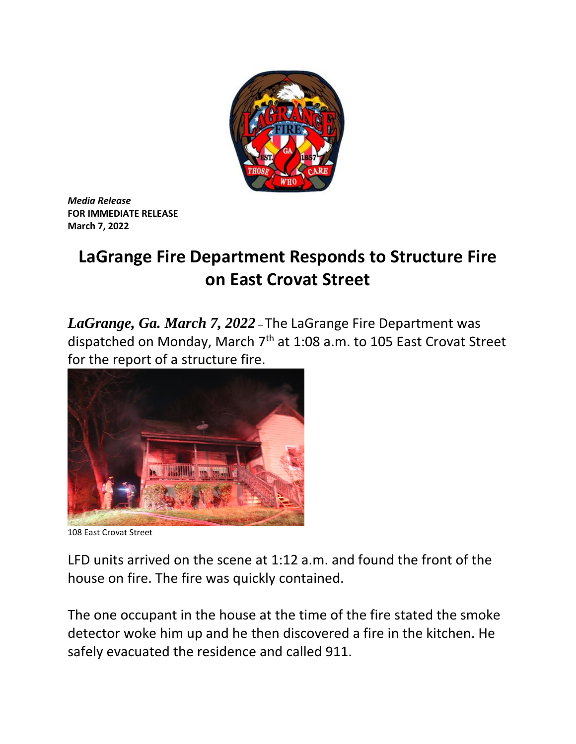

*Media Release* **FOR IMMEDIATE RELEASE March 7, 2022**

## **LaGrange Fire Department Responds to Structure Fire on East Crovat Street**

*LaGrange, Ga. March 7, 2022* – The LaGrange Fire Department was dispatched on Monday, March 7<sup>th</sup> at 1:08 a.m. to 105 East Crovat Street for the report of a structure fire.



108 East Crovat Street

LFD units arrived on the scene at 1:12 a.m. and found the front of the house on fire. The fire was quickly contained.

The one occupant in the house at the time of the fire stated the smoke detector woke him up and he then discovered a fire in the kitchen. He safely evacuated the residence and called 911.